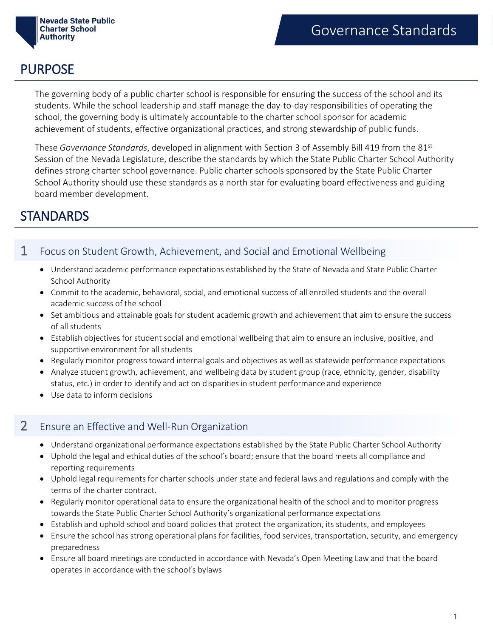

## PURPOSE

The governing body of a public charter school is responsible for ensuring the success of the school and its students. While the school leadership and staff manage the day-to-day responsibilities of operating the school, the governing body is ultimately accountable to the charter school sponsor for academic achievement of students, effective organizational practices, and strong stewardship of public funds.

These *Governance Standards*, developed in alignment with Section 3 of Assembly Bill 419 from the 81st Session of the Nevada Legislature, describe the standards by which the State Public Charter School Authority defines strong charter school governance. Public charter schools sponsored by the State Public Charter School Authority should use these standards as a north star for evaluating board effectiveness and guiding board member development.

# **STANDARDS**

### 1 Focus on Student Growth, Achievement, and Social and Emotional Wellbeing

- Understand academic performance expectations established by the State of Nevada and State Public Charter School Authority
- Commit to the academic, behavioral, social, and emotional success of all enrolled students and the overall academic success of the school
- Set ambitious and attainable goals for student academic growth and achievement that aim to ensure the success of all students
- Establish objectives for student social and emotional wellbeing that aim to ensure an inclusive, positive, and supportive environment for all students
- Regularly monitor progress toward internal goals and objectives as well as statewide performance expectations
- Analyze student growth, achievement, and wellbeing data by student group (race, ethnicity, gender, disability status, etc.) in order to identify and act on disparities in student performance and experience
- Use data to inform decisions

### 2 Ensure an Effective and Well-Run Organization

- Understand organizational performance expectations established by the State Public Charter School Authority
- Uphold the legal and ethical duties of the school's board; ensure that the board meets all compliance and reporting requirements
- Uphold legal requirements for charter schools under state and federal laws and regulations and comply with the terms of the charter contract.
- Regularly monitor operational data to ensure the organizational health of the school and to monitor progress towards the State Public Charter School Authority's organizational performance expectations
- Establish and uphold school and board policies that protect the organization, its students, and employees
- Ensure the school has strong operational plans for facilities, food services, transportation, security, and emergency preparedness
- Ensure all board meetings are conducted in accordance with Nevada's Open Meeting Law and that the board operates in accordance with the school's bylaws